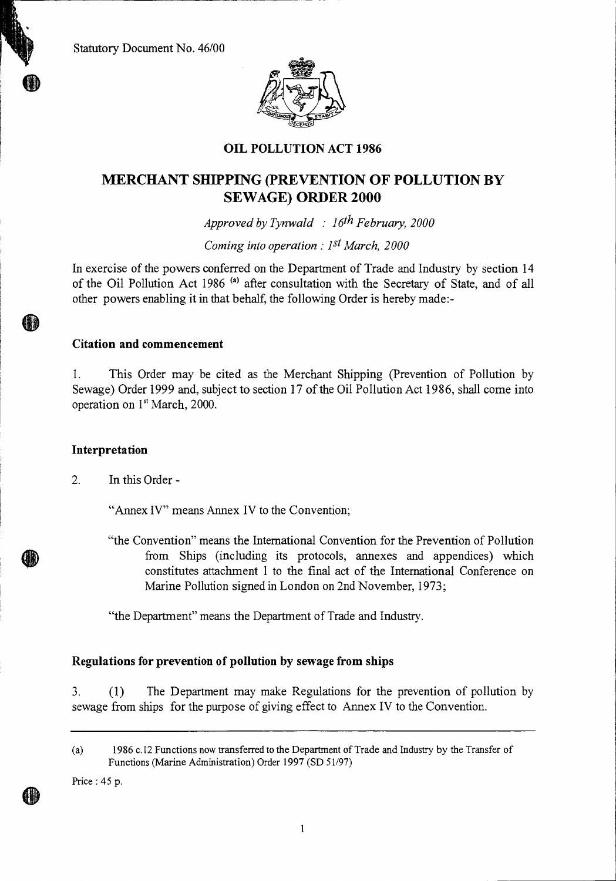Statutory Document No. 46/00



## **OIL POLLUTION ACT 1986**

# **MERCHANT SHIPPING (PREVENTION OF POLLUTION BY SEWAGE) ORDER 2000**

*Approved by Tynwald : 16th February, 2000* 

*Coming into operation : 1st March, 2000* 

In exercise of the powers conferred on the Department of Trade and Industry by section 14 of the Oil Pollution Act 1986<sup>(a)</sup> after consultation with the Secretary of State, and of all other powers enabling it in that behalf, the following Order is hereby made:-

#### **Citation and commencement**

1. This Order may be cited as the Merchant Shipping (Prevention of Pollution by Sewage) Order 1999 and, subject to section 17 of the Oil Pollution Act 1986, shall come into operation on  $1<sup>st</sup> March$ , 2000.

#### **Interpretation**

2. In this Order -

"Annex IV" means Annex IV to the Convention;

"the Convention" means the International Convention for the Prevention of Pollution from Ships (including its protocols, annexes and appendices) which constitutes attachment 1 to the final act of the International Conference on Marine Pollution signed in London on 2nd November, 1973;

"the Department" means the Department of Trade and Industry.

#### **Regulations for prevention of pollution by sewage from ships**

3. (1) The Department may make Regulations for the prevention of pollution by sewage from ships for the purpose of giving effect to Annex IV to the Convention.

Price : 45 p.

1

<sup>(</sup>a) 1986 c.12 Functions now transferred to the Department of Trade and Industry by the Transfer of Functions (Marine Administration) Order 1997 (SD 51/97)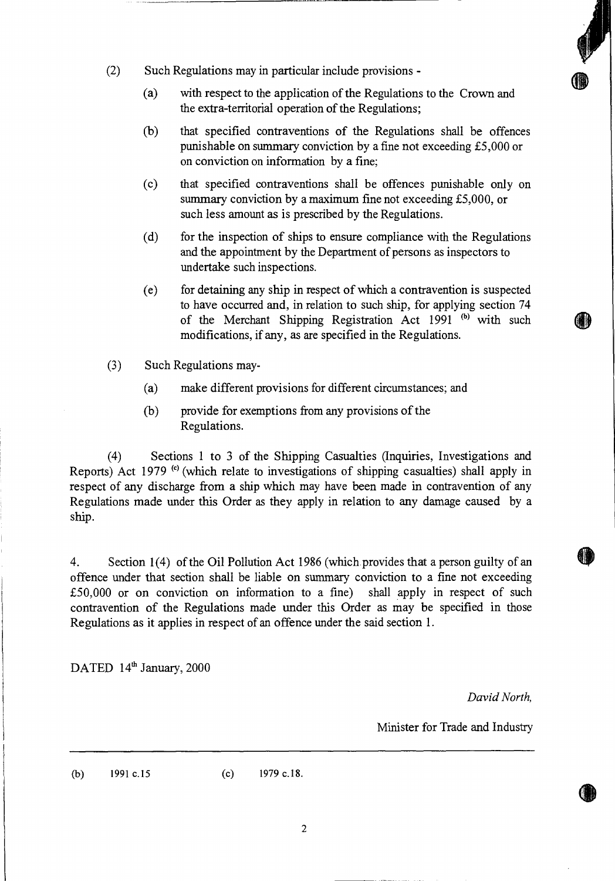- (2) Such Regulations may in particular include provisions
	- (a) with respect to the application of the Regulations to the Crown and the extra-territorial operation of the Regulations;
	- (b) that specified contraventions of the Regulations shall be offences punishable on summary conviction by a fine not exceeding £5,000 or on conviction on information by a fine;
	- (c) that specified contraventions shall be offences punishable only on summary conviction by a maximum fine not exceeding £5,000, or such less amount as is prescribed by the Regulations.
	- (d) for the inspection of ships to ensure compliance with the Regulations and the appointment by the Department of persons as inspectors to undertake such inspections.
	- (e) for detaining any ship in respect of which a contravention is suspected to have occurred and, in relation to such ship, for applying section 74 of the Merchant Shipping Registration Act 1991<sup>(b)</sup> with such modifications, if any, as are specified in the Regulations.
- (3) Such Regulations may-
	- (a) make different provisions for different circumstances; and
	- (b) provide for exemptions from any provisions of the Regulations.

(4) Sections 1 to 3 of the Shipping Casualties (Inquiries, Investigations and Reports) Act 1979 <sup>(c)</sup> (which relate to investigations of shipping casualties) shall apply in respect of any discharge from a ship which may have been made in contravention of any Regulations made under this Order as they apply in relation to any damage caused by a ship.

4. Section 1(4) of the Oil Pollution Act 1986 (which provides that a person guilty of an offence under that section shall be liable on summary conviction to a fine not exceeding £50,000 or on conviction on information to a fine) shall apply in respect of such contravention of the Regulations made under this Order as may be specified in those Regulations as it applies in respect of an offence under the said section 1.

DATED 14<sup>th</sup> January, 2000

*David North,* 

Minister for Trade and Industry

(b) 1991 c.15 (c) 1979 c.18.